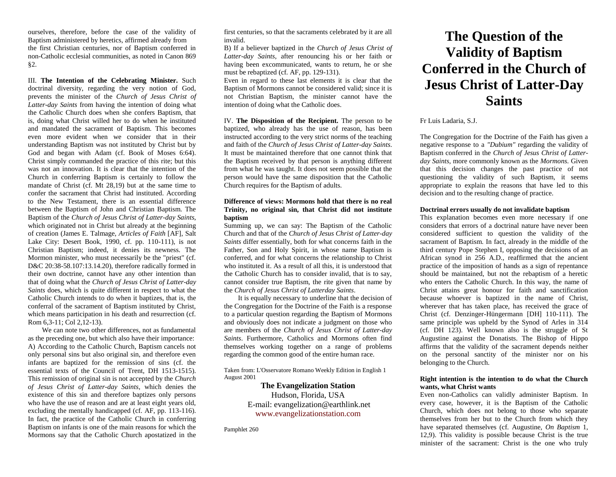ourselves, therefore, before the case of the validity of Baptism administered by heretics, affirmed already from the first Christian centuries, nor of Baptism conferred in non-Catholic ecclesial communities, as noted in Canon 869 §2.

III. **The Intention of the Celebrating Minister.** Such doctrinal diversity, regarding the very notion of God, prevents the minister of the *Church of Jesus Christ of Latter-day Saints* from having the intention of doing what the Catholic Church does when she confers Baptism, that is, doing what Christ willed her to do when he instituted and mandated the sacrament of Baptism. This becomes even more evident when we consider that in their understanding Baptism was not instituted by Christ but by God and began with Adam (cf. Book of Moses 6:64). Christ simply commanded the practice of this rite; but this was not an innovation. It is clear that the intention of the Church in conferring Baptism is certainly to follow the mandate of Christ (cf. Mt 28,19) but at the same time to confer the sacrament that Christ had instituted. According to the New Testament, there is an essential difference between the Baptism of John and Christian Baptism. The Baptism of the *Church of Jesus Christ of Latter-day Saints*, which originated not in Christ but already at the beginning of creation (James E. Talmage, *Articles of Faith* [AF], Salt Lake City: Desert Book, 1990, cf. pp. 110-111), is not Christian Baptism; indeed, it denies its newness. The Mormon minister, who must necessarily be the "priest" (cf. D&C 20:38-58.107:13.14.20), therefore radically formed in their own doctrine, cannot have any other intention than that of doing what the *Church of Jesus Christ of Latter-day Saints* does, which is quite different in respect to what the Catholic Church intends to do when it baptizes, that is, the conferral of the sacrament of Baptism instituted by Christ, which means participation in his death and resurrection (cf. Rom 6,3-11; Col 2,12-13).

We can note two other differences, not as fundamental as the preceding one, but which also have their importance: A) According to the Catholic Church, Baptism cancels not only personal sins but also original sin, and therefore even infants are baptized for the remission of sins (cf. the essential texts of the Council of Trent, DH 1513-1515). This remission of original sin is not accepted by the *Church of Jesus Christ of Latter-day Saints*, which denies the existence of this sin and therefore baptizes only persons who have the use of reason and are at least eight years old, excluding the mentally handicapped (cf. AF, pp. 113-116). In fact, the practice of the Catholic Church in conferring Baptism on infants is one of the main reasons for which the Mormons say that the Catholic Church apostatized in the first centuries, so that the sacraments celebrated by it are all invalid.

B) If a believer baptized in the *Church of Jesus Christ of Latter-day Saints*, after renouncing his or her faith or having been excommunicated, wants to return, he or she must be rebaptized (cf. AF, pp. 129-131).

Even in regard to these last elements it is clear that the Baptism of Mormons cannot be considered valid; since it is not Christian Baptism, the minister cannot have the intention of doing what the Catholic does.

IV. **The Disposition of the Recipient.** The person to be baptized, who already has the use of reason, has been instructed according to the very strict norms of the teaching and faith of the *Church of Jesus Christ of Latter-day Saints*. It must be maintained therefore that one cannot think that the Baptism received by that person is anything different from what he was taught. It does not seem possible that the person would have the same disposition that the Catholic Church requires for the Baptism of adults.

## **Difference of views: Mormons hold that there is no real Trinity, no original sin, that Christ did not institute baptism**

Summing up, we can say: The Baptism of the Catholic Church and that of the *Church of Jesus Christ of Latter-day Saints* differ essentially, both for what concerns faith in the Father, Son and Holy Spirit, in whose name Baptism is conferred, and for what concerns the relationship to Christ who instituted it. As a result of all this, it is understood that the Catholic Church has to consider invalid, that is to say, cannot consider true Baptism, the rite given that name by the *Church of Jesus Christ of Latterday Saints*.

It is equally necessary to underline that the decision of the Congregation for the Doctrine of the Faith is a response to a particular question regarding the Baptism of Mormons and obviously does not indicate a judgment on those who are members of the *Church of Jesus Christ of Latter-day Saints*. Furthermore, Catholics and Mormons often find themselves working together on a range of problems regarding the common good of the entire human race.

Taken from: L'Osservatore Romano Weekly Edition in English 1 August 2001

> **The Evangelization Station** Hudson, Florida, USA E-mail: evangelization@earthlink.net [www.evangelizationstation.com](http://www.pjpiisoe.org/)

Pamphlet 260

# **The Question of the Validity of Baptism Conferred in the Church of Jesus Christ of Latter-Day Saints**

Fr Luis Ladaria, S.J.

The Congregation for the Doctrine of the Faith has given a negative response to a *"Dubium"* regarding the validity of Baptism conferred in the *Church of Jesus Christ of Latterday Saints*, more commonly known as the *Mormons.* Given that this decision changes the past practice of not questioning the validity of such Baptism, it seems appropriate to explain the reasons that have led to this decision and to the resulting change of practice.

#### **Doctrinal errors usually do not invalidate baptism**

This explanation becomes even more necessary if one considers that errors of a doctrinal nature have never been considered sufficient to question the validity of the sacrament of Baptism. In fact, already in the middle of the third century Pope Stephen I, opposing the decisions of an African synod in 256 A.D., reaffirmed that the ancient practice of the imposition of hands as a sign of repentance should be maintained, but not the rebaptism of a heretic who enters the Catholic Church. In this way, the name of Christ attains great honour for faith and sanctification because whoever is baptized in the name of Christ, wherever that has taken place, has received the grace of Christ (cf. Denzinger-Hüngermann [DH] 110-111). The same principle was upheld by the Synod of Arles in 314 (cf. DH 123). Well known also is the struggle of St Augustine against the Donatists. The Bishop of Hippo affirms that the validity of the sacrament depends neither on the personal sanctity of the minister nor on his belonging to the Church.

# **Right intention is the intention to do what the Church wants, what Christ wants**

Even non-Catholics can validly administer Baptism. In every case, however, it is the Baptism of the Catholic Church, which does not belong to those who separate themselves from her but to the Church from which they have separated themselves (cf. Augustine, *On Baptism* 1, 12,9). This validity is possible because Christ is the true minister of the sacrament: Christ is the one who truly